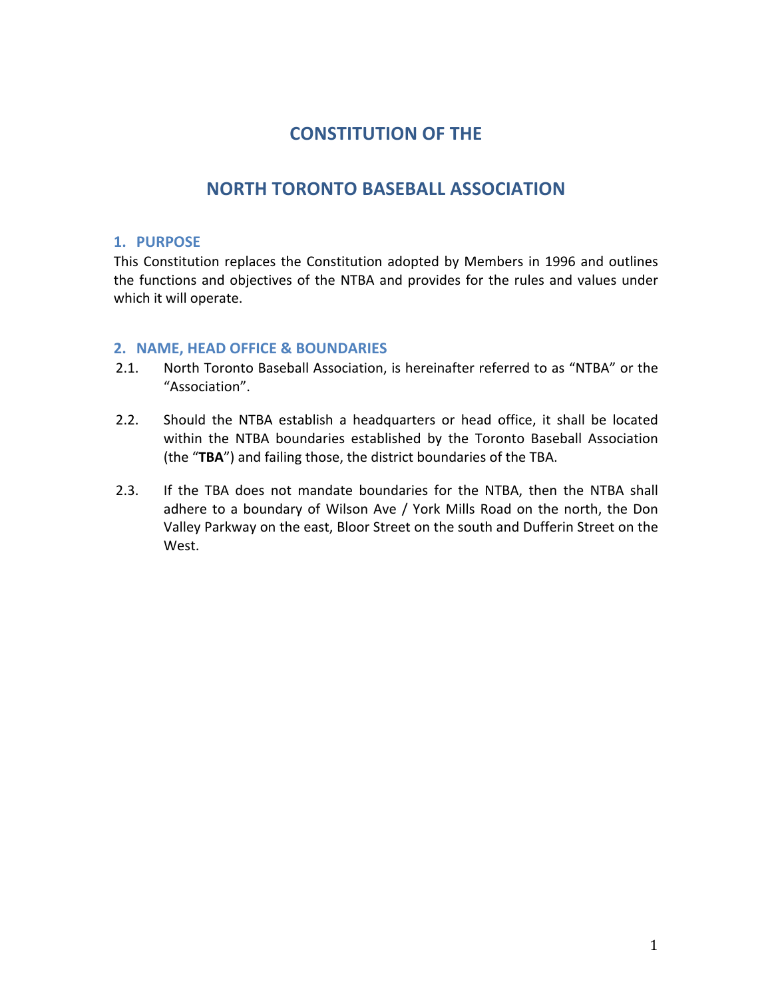# **CONSTITUTION OF THE**

# **NORTH TORONTO BASEBALL ASSOCIATION**

# **1. PURPOSE**

This Constitution replaces the Constitution adopted by Members in 1996 and outlines the functions and objectives of the NTBA and provides for the rules and values under which it will operate.

# **2. NAME, HEAD OFFICE & BOUNDARIES**

- 2.1. North Toronto Baseball Association, is hereinafter referred to as "NTBA" or the "Association".
- 2.2. Should the NTBA establish a headquarters or head office, it shall be located within the NTBA boundaries established by the Toronto Baseball Association (the "**TBA**") and failing those, the district boundaries of the TBA.
- 2.3. If the TBA does not mandate boundaries for the NTBA, then the NTBA shall adhere to a boundary of Wilson Ave / York Mills Road on the north, the Don Valley Parkway on the east, Bloor Street on the south and Dufferin Street on the West.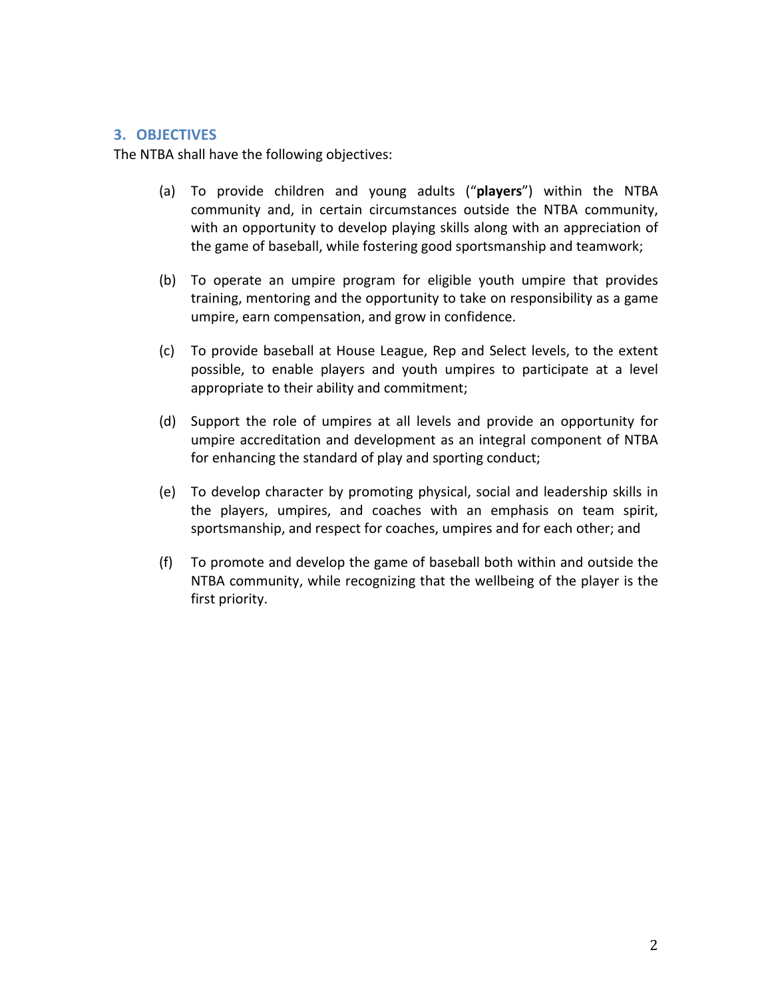### **3. OBJECTIVES**

The NTBA shall have the following objectives:

- (a) To provide children and young adults ("**players**") within the NTBA community and, in certain circumstances outside the NTBA community, with an opportunity to develop playing skills along with an appreciation of the game of baseball, while fostering good sportsmanship and teamwork;
- (b) To operate an umpire program for eligible youth umpire that provides training, mentoring and the opportunity to take on responsibility as a game umpire, earn compensation, and grow in confidence.
- (c) To provide baseball at House League, Rep and Select levels, to the extent possible, to enable players and youth umpires to participate at a level appropriate to their ability and commitment;
- (d) Support the role of umpires at all levels and provide an opportunity for umpire accreditation and development as an integral component of NTBA for enhancing the standard of play and sporting conduct;
- (e) To develop character by promoting physical, social and leadership skills in the players, umpires, and coaches with an emphasis on team spirit, sportsmanship, and respect for coaches, umpires and for each other; and
- (f) To promote and develop the game of baseball both within and outside the NTBA community, while recognizing that the wellbeing of the player is the first priority.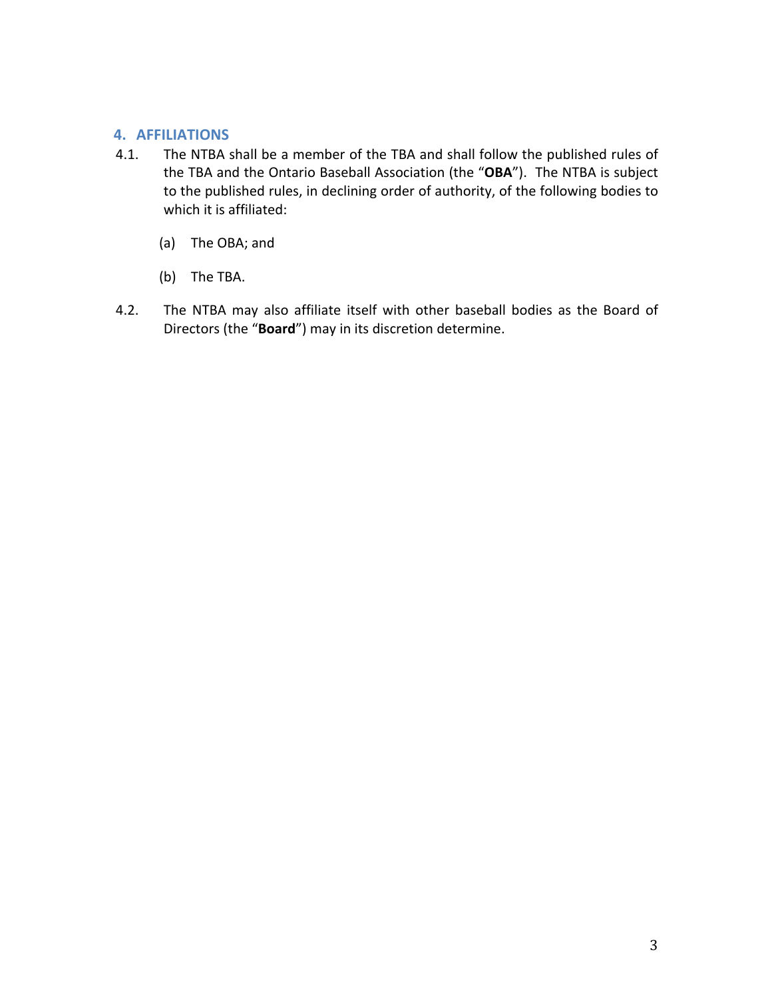# **4. AFFILIATIONS**

- 4.1. The NTBA shall be a member of the TBA and shall follow the published rules of the TBA and the Ontario Baseball Association (the "OBA"). The NTBA is subject to the published rules, in declining order of authority, of the following bodies to which it is affiliated:
	- (a) The OBA; and
	- (b) The TBA.
- 4.2. The NTBA may also affiliate itself with other baseball bodies as the Board of Directors (the "**Board**") may in its discretion determine.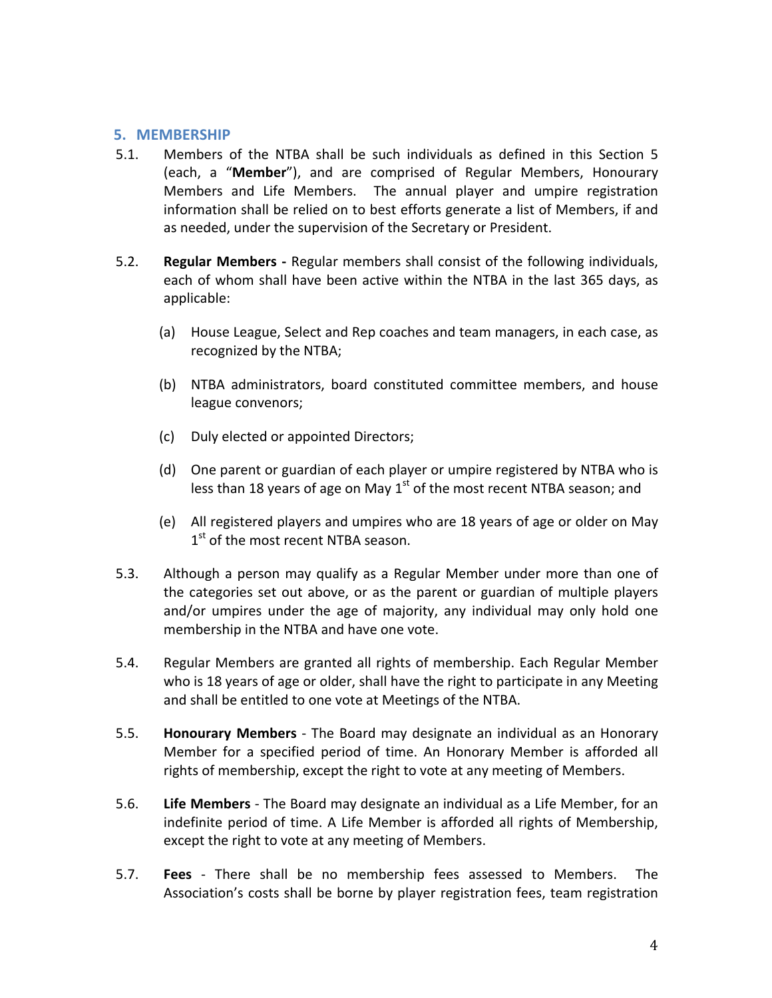### **5. MEMBERSHIP**

- 5.1. Members of the NTBA shall be such individuals as defined in this Section 5 (each, a "**Member**"), and are comprised of Regular Members, Honourary Members and Life Members. The annual player and umpire registration information shall be relied on to best efforts generate a list of Members, if and as needed, under the supervision of the Secretary or President.
- 5.2. **Regular Members -** Regular members shall consist of the following individuals, each of whom shall have been active within the NTBA in the last 365 days, as applicable:
	- (a) House League, Select and Rep coaches and team managers, in each case, as recognized by the NTBA;
	- (b) NTBA administrators, board constituted committee members, and house league convenors;
	- (c) Duly elected or appointed Directors;
	- (d) One parent or guardian of each player or umpire registered by NTBA who is less than 18 years of age on May  $1<sup>st</sup>$  of the most recent NTBA season; and
	- (e) All registered players and umpires who are 18 years of age or older on May 1<sup>st</sup> of the most recent NTBA season.
- 5.3. Although a person may qualify as a Regular Member under more than one of the categories set out above, or as the parent or guardian of multiple players and/or umpires under the age of majority, any individual may only hold one membership in the NTBA and have one vote.
- 5.4. Regular Members are granted all rights of membership. Each Regular Member who is 18 years of age or older, shall have the right to participate in any Meeting and shall be entitled to one vote at Meetings of the NTBA.
- 5.5. **Honourary Members** The Board may designate an individual as an Honorary Member for a specified period of time. An Honorary Member is afforded all rights of membership, except the right to vote at any meeting of Members.
- 5.6. **Life Members** The Board may designate an individual as a Life Member, for an indefinite period of time. A Life Member is afforded all rights of Membership, except the right to vote at any meeting of Members.
- 5.7. **Fees** There shall be no membership fees assessed to Members. The Association's costs shall be borne by player registration fees, team registration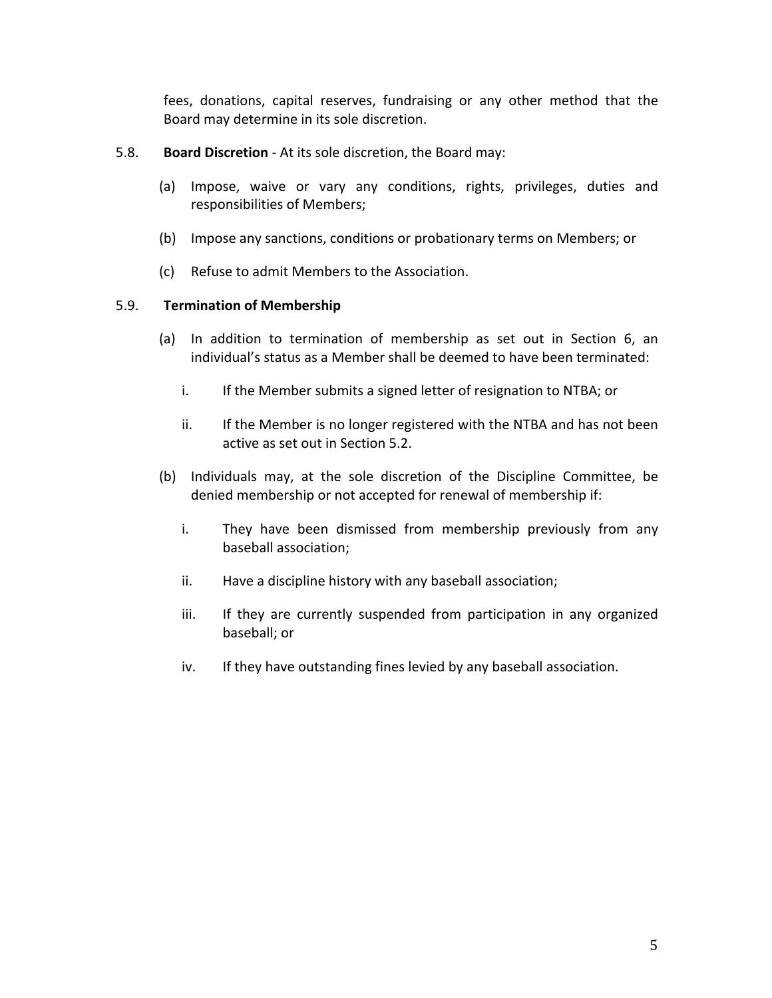fees, donations, capital reserves, fundraising or any other method that the Board may determine in its sole discretion.

- 5.8. **Board Discretion** At its sole discretion, the Board may:
	- (a) Impose, waive or vary any conditions, rights, privileges, duties and responsibilities of Members;
	- (b) Impose any sanctions, conditions or probationary terms on Members; or
	- (c) Refuse to admit Members to the Association.

#### 5.9. **Termination of Membership**

- (a) In addition to termination of membership as set out in Section 6, an individual's status as a Member shall be deemed to have been terminated:
	- i. If the Member submits a signed letter of resignation to NTBA; or
	- ii. If the Member is no longer registered with the NTBA and has not been active as set out in Section 5.2.
- (b) Individuals may, at the sole discretion of the Discipline Committee, be denied membership or not accepted for renewal of membership if:
	- i. They have been dismissed from membership previously from any baseball association;
	- ii. Have a discipline history with any baseball association;
	- iii. If they are currently suspended from participation in any organized baseball; or
	- iv. If they have outstanding fines levied by any baseball association.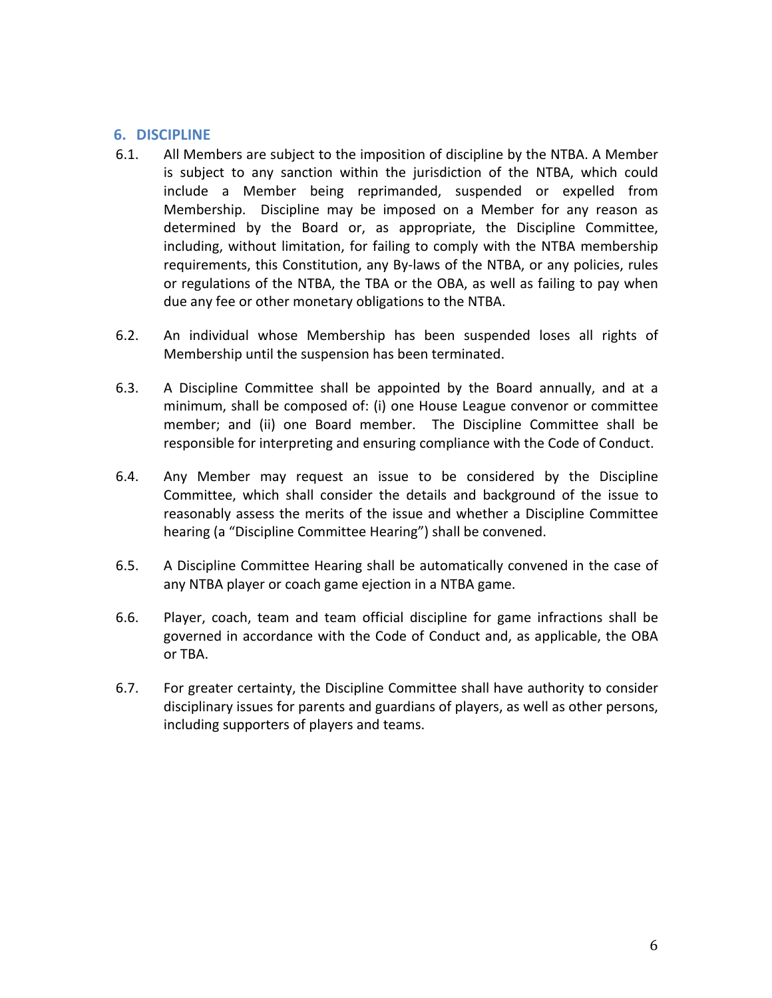# **6. DISCIPLINE**

- 6.1. All Members are subject to the imposition of discipline by the NTBA. A Member is subject to any sanction within the jurisdiction of the NTBA, which could include a Member being reprimanded, suspended or expelled from Membership. Discipline may be imposed on a Member for any reason as determined by the Board or, as appropriate, the Discipline Committee, including, without limitation, for failing to comply with the NTBA membership requirements, this Constitution, any By-laws of the NTBA, or any policies, rules or regulations of the NTBA, the TBA or the OBA, as well as failing to pay when due any fee or other monetary obligations to the NTBA.
- 6.2. An individual whose Membership has been suspended loses all rights of Membership until the suspension has been terminated.
- 6.3. A Discipline Committee shall be appointed by the Board annually, and at a minimum, shall be composed of: (i) one House League convenor or committee member; and (ii) one Board member. The Discipline Committee shall be responsible for interpreting and ensuring compliance with the Code of Conduct.
- 6.4. Any Member may request an issue to be considered by the Discipline Committee, which shall consider the details and background of the issue to reasonably assess the merits of the issue and whether a Discipline Committee hearing (a "Discipline Committee Hearing") shall be convened.
- 6.5. A Discipline Committee Hearing shall be automatically convened in the case of any NTBA player or coach game ejection in a NTBA game.
- 6.6. Player, coach, team and team official discipline for game infractions shall be governed in accordance with the Code of Conduct and, as applicable, the OBA or TBA.
- 6.7. For greater certainty, the Discipline Committee shall have authority to consider disciplinary issues for parents and guardians of players, as well as other persons, including supporters of players and teams.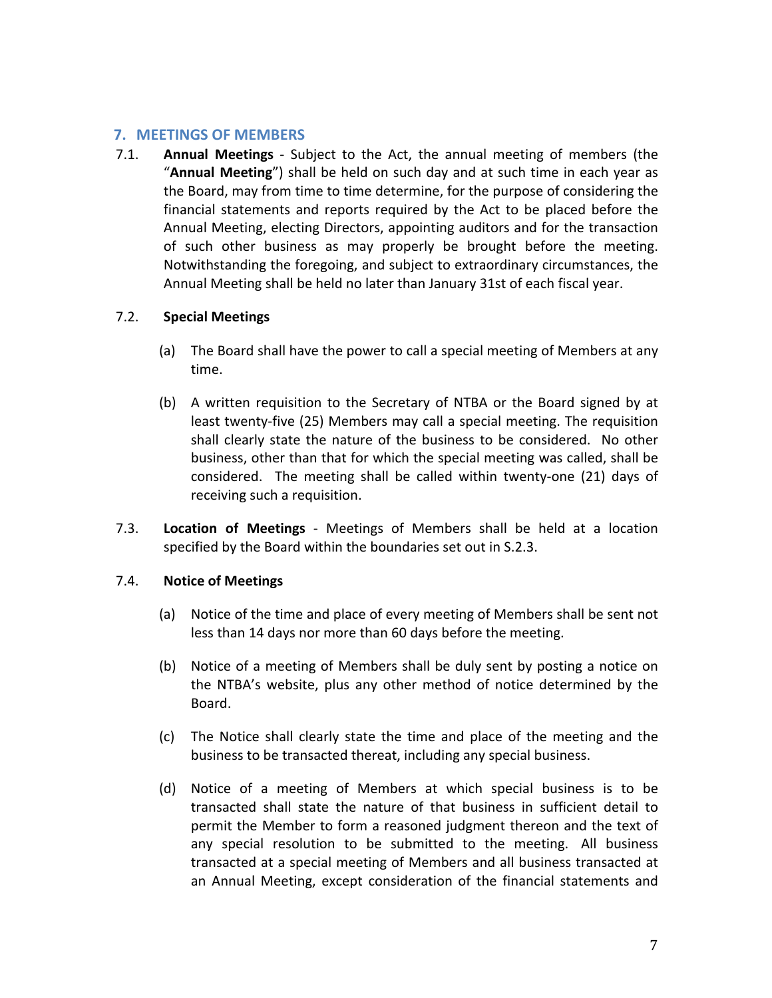## **7. MEETINGS OF MEMBERS**

7.1. **Annual Meetings** - Subject to the Act, the annual meeting of members (the "**Annual Meeting**") shall be held on such day and at such time in each year as the Board, may from time to time determine, for the purpose of considering the financial statements and reports required by the Act to be placed before the Annual Meeting, electing Directors, appointing auditors and for the transaction of such other business as may properly be brought before the meeting. Notwithstanding the foregoing, and subject to extraordinary circumstances, the Annual Meeting shall be held no later than January 31st of each fiscal year.

### 7.2. **Special Meetings**

- (a) The Board shall have the power to call a special meeting of Members at any time.
- (b) A written requisition to the Secretary of NTBA or the Board signed by at least twenty-five (25) Members may call a special meeting. The requisition shall clearly state the nature of the business to be considered. No other business, other than that for which the special meeting was called, shall be considered. The meeting shall be called within twenty-one (21) days of receiving such a requisition.
- 7.3. **Location of Meetings** Meetings of Members shall be held at a location specified by the Board within the boundaries set out in S.2.3.

### 7.4. **Notice of Meetings**

- (a) Notice of the time and place of every meeting of Members shall be sent not less than 14 days nor more than 60 days before the meeting.
- (b) Notice of a meeting of Members shall be duly sent by posting a notice on the NTBA's website, plus any other method of notice determined by the Board.
- (c) The Notice shall clearly state the time and place of the meeting and the business to be transacted thereat, including any special business.
- (d) Notice of a meeting of Members at which special business is to be transacted shall state the nature of that business in sufficient detail to permit the Member to form a reasoned judgment thereon and the text of any special resolution to be submitted to the meeting. All business transacted at a special meeting of Members and all business transacted at an Annual Meeting, except consideration of the financial statements and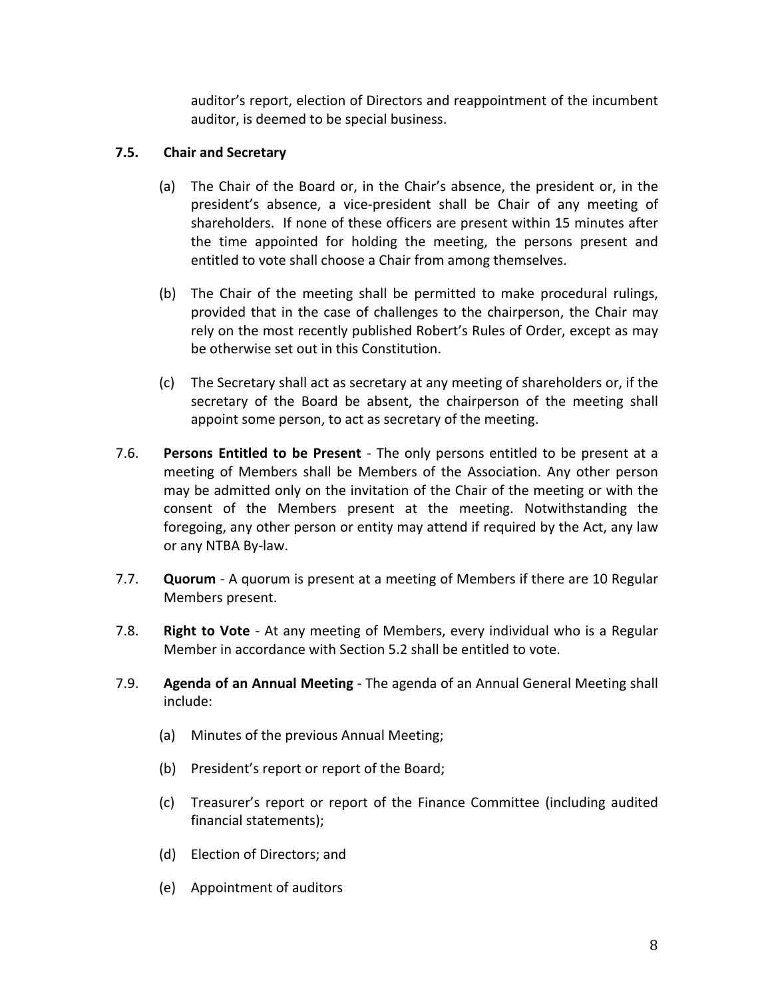auditor's report, election of Directors and reappointment of the incumbent auditor, is deemed to be special business.

## **7.5. Chair and Secretary**

- (a) The Chair of the Board or, in the Chair's absence, the president or, in the president's absence, a vice-president shall be Chair of any meeting of shareholders. If none of these officers are present within 15 minutes after the time appointed for holding the meeting, the persons present and entitled to vote shall choose a Chair from among themselves.
- (b) The Chair of the meeting shall be permitted to make procedural rulings, provided that in the case of challenges to the chairperson, the Chair may rely on the most recently published Robert's Rules of Order, except as may be otherwise set out in this Constitution.
- (c) The Secretary shall act as secretary at any meeting of shareholders or, if the secretary of the Board be absent, the chairperson of the meeting shall appoint some person, to act as secretary of the meeting.
- 7.6. **Persons Entitled to be Present** The only persons entitled to be present at a meeting of Members shall be Members of the Association. Any other person may be admitted only on the invitation of the Chair of the meeting or with the consent of the Members present at the meeting. Notwithstanding the foregoing, any other person or entity may attend if required by the Act, any law or any NTBA By-law.
- 7.7. **Quorum** A quorum is present at a meeting of Members if there are 10 Regular Members present.
- 7.8. **Right to Vote** At any meeting of Members, every individual who is a Regular Member in accordance with Section 5.2 shall be entitled to vote.
- 7.9. **Agenda of an Annual Meeting** The agenda of an Annual General Meeting shall include:
	- (a) Minutes of the previous Annual Meeting;
	- (b) President's report or report of the Board;
	- (c) Treasurer's report or report of the Finance Committee (including audited financial statements);
	- (d) Election of Directors; and
	- (e) Appointment of auditors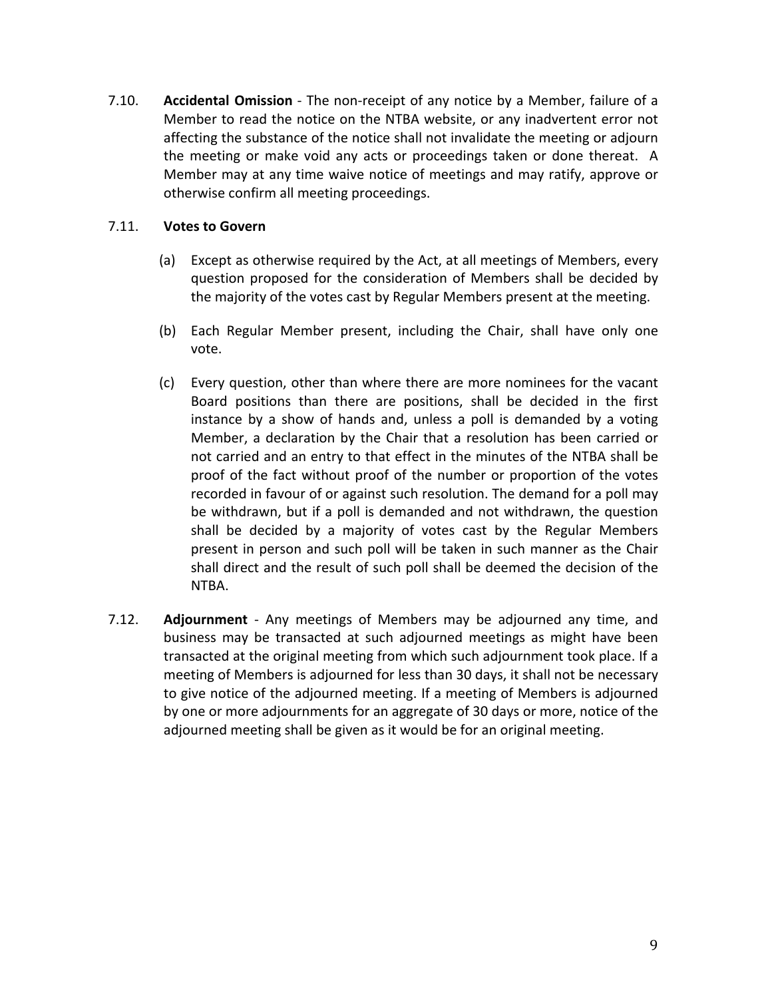7.10. **Accidental Omission** - The non-receipt of any notice by a Member, failure of a Member to read the notice on the NTBA website, or any inadvertent error not affecting the substance of the notice shall not invalidate the meeting or adjourn the meeting or make void any acts or proceedings taken or done thereat. A Member may at any time waive notice of meetings and may ratify, approve or otherwise confirm all meeting proceedings.

### 7.11. **Votes to Govern**

- (a) Except as otherwise required by the Act, at all meetings of Members, every question proposed for the consideration of Members shall be decided by the majority of the votes cast by Regular Members present at the meeting.
- (b) Each Regular Member present, including the Chair, shall have only one vote.
- (c) Every question, other than where there are more nominees for the vacant Board positions than there are positions, shall be decided in the first instance by a show of hands and, unless a poll is demanded by a voting Member, a declaration by the Chair that a resolution has been carried or not carried and an entry to that effect in the minutes of the NTBA shall be proof of the fact without proof of the number or proportion of the votes recorded in favour of or against such resolution. The demand for a poll may be withdrawn, but if a poll is demanded and not withdrawn, the question shall be decided by a majority of votes cast by the Regular Members present in person and such poll will be taken in such manner as the Chair shall direct and the result of such poll shall be deemed the decision of the NTBA.
- 7.12. **Adjournment** Any meetings of Members may be adjourned any time, and business may be transacted at such adjourned meetings as might have been transacted at the original meeting from which such adjournment took place. If a meeting of Members is adjourned for less than 30 days, it shall not be necessary to give notice of the adjourned meeting. If a meeting of Members is adjourned by one or more adjournments for an aggregate of 30 days or more, notice of the adjourned meeting shall be given as it would be for an original meeting.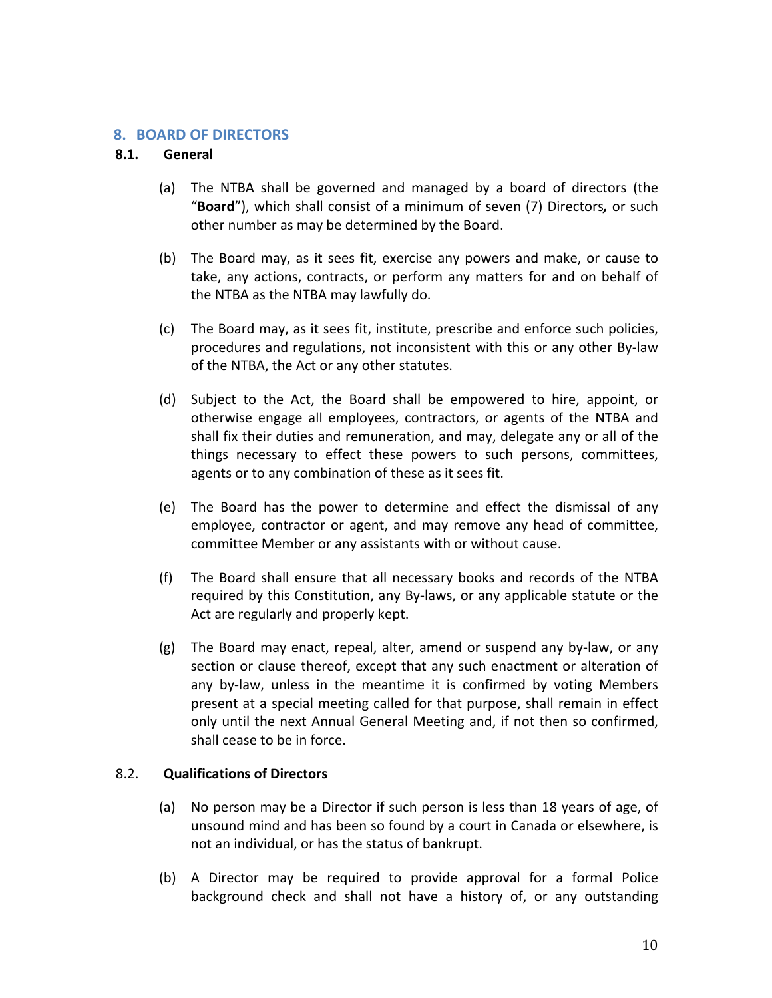### **8. BOARD OF DIRECTORS**

### **8.1. General**

- (a) The NTBA shall be governed and managed by a board of directors (the "**Board**"), which shall consist of a minimum of seven (7) Directors*,* or such other number as may be determined by the Board.
- (b) The Board may, as it sees fit, exercise any powers and make, or cause to take, any actions, contracts, or perform any matters for and on behalf of the NTBA as the NTBA may lawfully do.
- (c) The Board may, as it sees fit, institute, prescribe and enforce such policies, procedures and regulations, not inconsistent with this or any other By-law of the NTBA, the Act or any other statutes.
- (d) Subject to the Act, the Board shall be empowered to hire, appoint, or otherwise engage all employees, contractors, or agents of the NTBA and shall fix their duties and remuneration, and may, delegate any or all of the things necessary to effect these powers to such persons, committees, agents or to any combination of these as it sees fit.
- (e) The Board has the power to determine and effect the dismissal of any employee, contractor or agent, and may remove any head of committee, committee Member or any assistants with or without cause.
- (f) The Board shall ensure that all necessary books and records of the NTBA required by this Constitution, any By-laws, or any applicable statute or the Act are regularly and properly kept.
- (g) The Board may enact, repeal, alter, amend or suspend any by-law, or any section or clause thereof, except that any such enactment or alteration of any by-law, unless in the meantime it is confirmed by voting Members present at a special meeting called for that purpose, shall remain in effect only until the next Annual General Meeting and, if not then so confirmed, shall cease to be in force.

### 8.2. **Qualifications of Directors**

- (a) No person may be a Director if such person is less than 18 years of age, of unsound mind and has been so found by a court in Canada or elsewhere, is not an individual, or has the status of bankrupt.
- (b) A Director may be required to provide approval for a formal Police background check and shall not have a history of, or any outstanding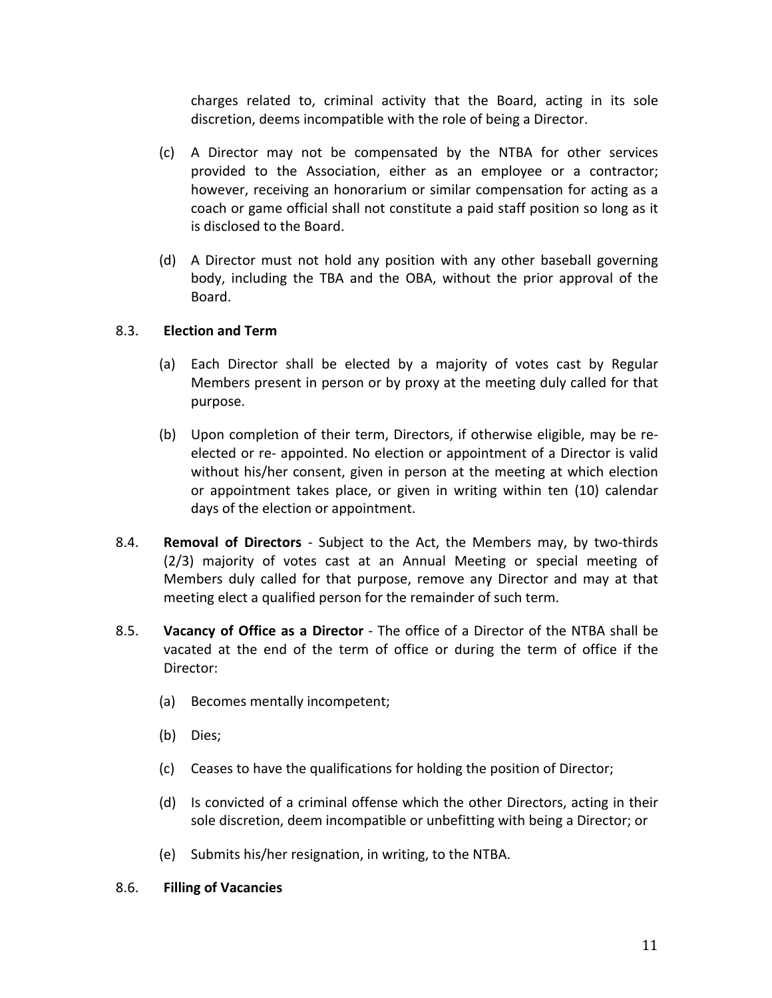charges related to, criminal activity that the Board, acting in its sole discretion, deems incompatible with the role of being a Director.

- (c) A Director may not be compensated by the NTBA for other services provided to the Association, either as an employee or a contractor; however, receiving an honorarium or similar compensation for acting as a coach or game official shall not constitute a paid staff position so long as it is disclosed to the Board.
- (d) A Director must not hold any position with any other baseball governing body, including the TBA and the OBA, without the prior approval of the Board.

### 8.3. **Election and Term**

- (a) Each Director shall be elected by a majority of votes cast by Regular Members present in person or by proxy at the meeting duly called for that purpose.
- (b) Upon completion of their term, Directors, if otherwise eligible, may be reelected or re- appointed. No election or appointment of a Director is valid without his/her consent, given in person at the meeting at which election or appointment takes place, or given in writing within ten (10) calendar days of the election or appointment.
- 8.4. **Removal of Directors** Subject to the Act, the Members may, by two-thirds (2/3) majority of votes cast at an Annual Meeting or special meeting of Members duly called for that purpose, remove any Director and may at that meeting elect a qualified person for the remainder of such term.
- 8.5. **Vacancy of Office as a Director** The office of a Director of the NTBA shall be vacated at the end of the term of office or during the term of office if the Director:
	- (a) Becomes mentally incompetent;
	- (b) Dies;
	- (c) Ceases to have the qualifications for holding the position of Director;
	- (d) Is convicted of a criminal offense which the other Directors, acting in their sole discretion, deem incompatible or unbefitting with being a Director; or
	- (e) Submits his/her resignation, in writing, to the NTBA.

#### 8.6. **Filling of Vacancies**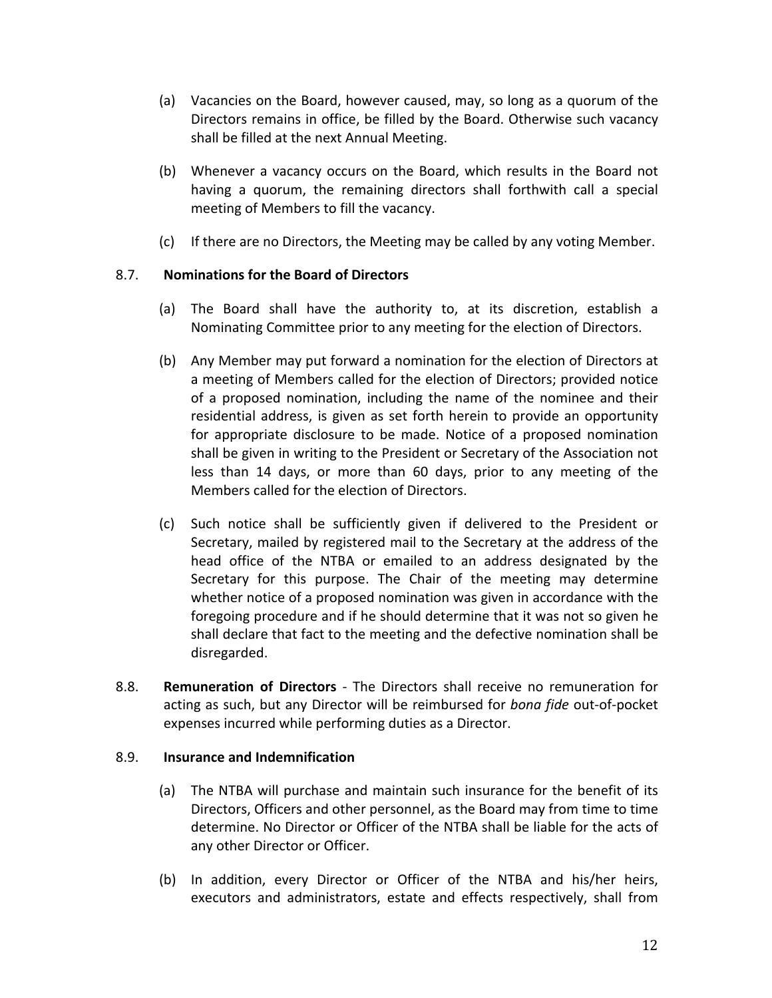- (a) Vacancies on the Board, however caused, may, so long as a quorum of the Directors remains in office, be filled by the Board. Otherwise such vacancy shall be filled at the next Annual Meeting.
- (b) Whenever a vacancy occurs on the Board, which results in the Board not having a quorum, the remaining directors shall forthwith call a special meeting of Members to fill the vacancy.
- (c) If there are no Directors, the Meeting may be called by any voting Member.

## 8.7. **Nominations for the Board of Directors**

- (a) The Board shall have the authority to, at its discretion, establish a Nominating Committee prior to any meeting for the election of Directors.
- (b) Any Member may put forward a nomination for the election of Directors at a meeting of Members called for the election of Directors; provided notice of a proposed nomination, including the name of the nominee and their residential address, is given as set forth herein to provide an opportunity for appropriate disclosure to be made. Notice of a proposed nomination shall be given in writing to the President or Secretary of the Association not less than 14 days, or more than 60 days, prior to any meeting of the Members called for the election of Directors.
- (c) Such notice shall be sufficiently given if delivered to the President or Secretary, mailed by registered mail to the Secretary at the address of the head office of the NTBA or emailed to an address designated by the Secretary for this purpose. The Chair of the meeting may determine whether notice of a proposed nomination was given in accordance with the foregoing procedure and if he should determine that it was not so given he shall declare that fact to the meeting and the defective nomination shall be disregarded.
- 8.8. **Remuneration of Directors** The Directors shall receive no remuneration for acting as such, but any Director will be reimbursed for *bona fide* out-of-pocket expenses incurred while performing duties as a Director.

### 8.9. **Insurance and Indemnification**

- (a) The NTBA will purchase and maintain such insurance for the benefit of its Directors, Officers and other personnel, as the Board may from time to time determine. No Director or Officer of the NTBA shall be liable for the acts of any other Director or Officer.
- (b) In addition, every Director or Officer of the NTBA and his/her heirs, executors and administrators, estate and effects respectively, shall from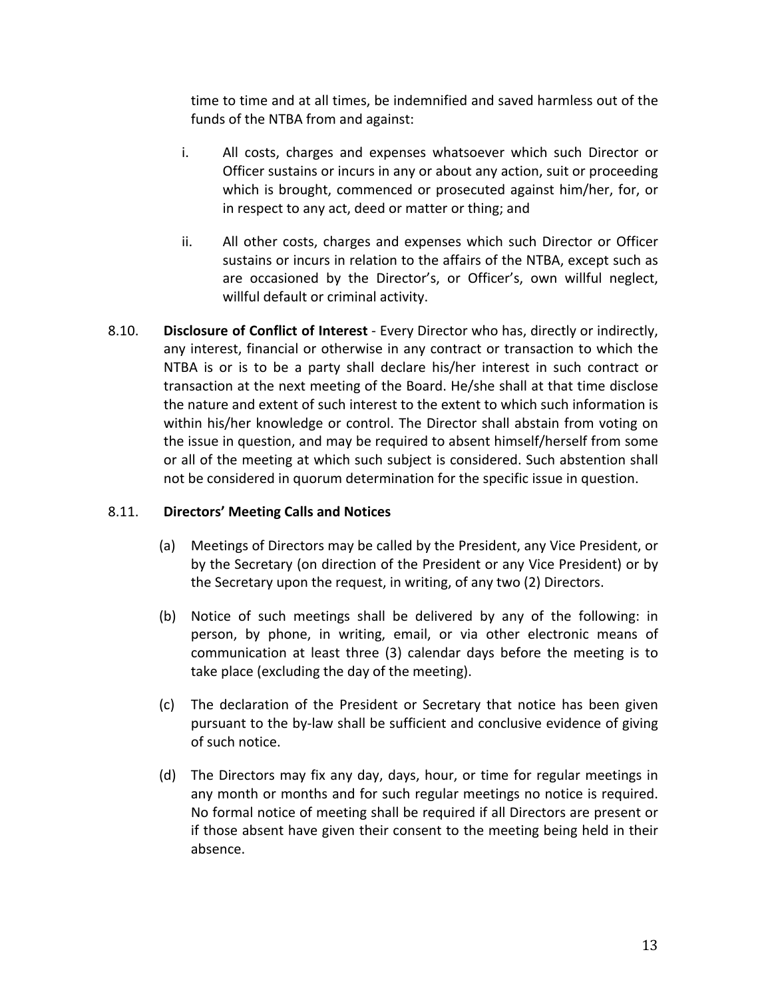time to time and at all times, be indemnified and saved harmless out of the funds of the NTBA from and against:

- i. All costs, charges and expenses whatsoever which such Director or Officer sustains or incurs in any or about any action, suit or proceeding which is brought, commenced or prosecuted against him/her, for, or in respect to any act, deed or matter or thing; and
- ii. All other costs, charges and expenses which such Director or Officer sustains or incurs in relation to the affairs of the NTBA, except such as are occasioned by the Director's, or Officer's, own willful neglect, willful default or criminal activity.
- 8.10. **Disclosure of Conflict of Interest** Every Director who has, directly or indirectly, any interest, financial or otherwise in any contract or transaction to which the NTBA is or is to be a party shall declare his/her interest in such contract or transaction at the next meeting of the Board. He/she shall at that time disclose the nature and extent of such interest to the extent to which such information is within his/her knowledge or control. The Director shall abstain from voting on the issue in question, and may be required to absent himself/herself from some or all of the meeting at which such subject is considered. Such abstention shall not be considered in quorum determination for the specific issue in question.

# 8.11. **Directors' Meeting Calls and Notices**

- (a) Meetings of Directors may be called by the President, any Vice President, or by the Secretary (on direction of the President or any Vice President) or by the Secretary upon the request, in writing, of any two (2) Directors.
- (b) Notice of such meetings shall be delivered by any of the following: in person, by phone, in writing, email, or via other electronic means of communication at least three (3) calendar days before the meeting is to take place (excluding the day of the meeting).
- (c) The declaration of the President or Secretary that notice has been given pursuant to the by-law shall be sufficient and conclusive evidence of giving of such notice.
- (d) The Directors may fix any day, days, hour, or time for regular meetings in any month or months and for such regular meetings no notice is required. No formal notice of meeting shall be required if all Directors are present or if those absent have given their consent to the meeting being held in their absence.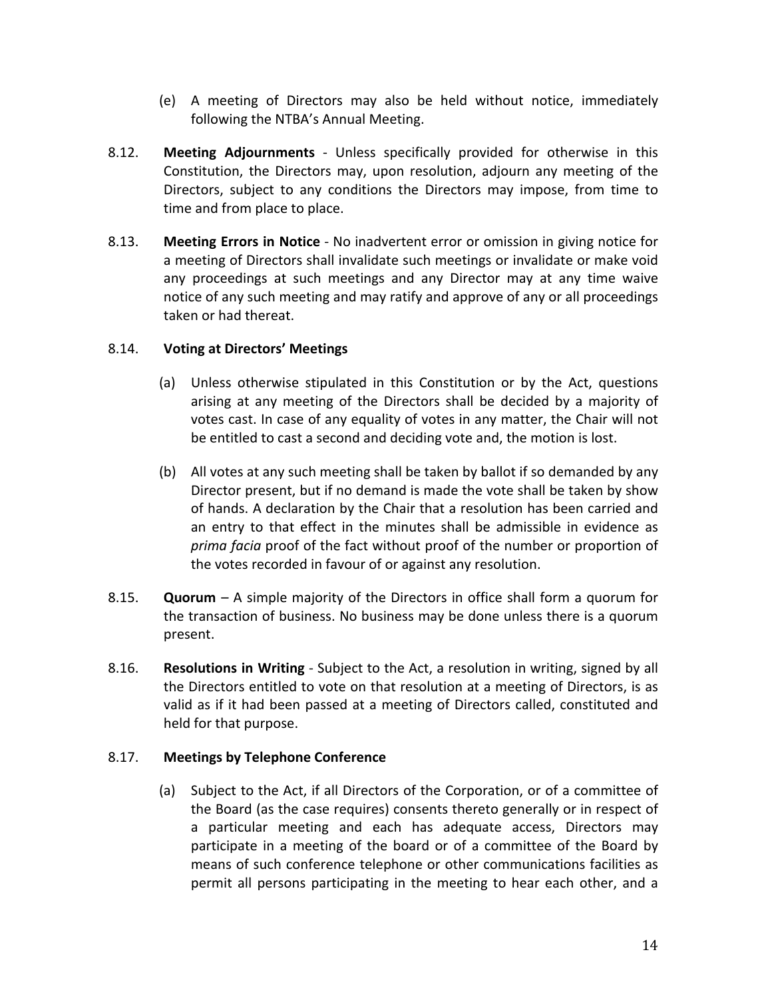- (e) A meeting of Directors may also be held without notice, immediately following the NTBA's Annual Meeting.
- 8.12. **Meeting Adjournments** Unless specifically provided for otherwise in this Constitution, the Directors may, upon resolution, adjourn any meeting of the Directors, subject to any conditions the Directors may impose, from time to time and from place to place.
- 8.13. **Meeting Errors in Notice** No inadvertent error or omission in giving notice for a meeting of Directors shall invalidate such meetings or invalidate or make void any proceedings at such meetings and any Director may at any time waive notice of any such meeting and may ratify and approve of any or all proceedings taken or had thereat.

## 8.14. **Voting at Directors' Meetings**

- (a) Unless otherwise stipulated in this Constitution or by the Act, questions arising at any meeting of the Directors shall be decided by a majority of votes cast. In case of any equality of votes in any matter, the Chair will not be entitled to cast a second and deciding vote and, the motion is lost.
- (b) All votes at any such meeting shall be taken by ballot if so demanded by any Director present, but if no demand is made the vote shall be taken by show of hands. A declaration by the Chair that a resolution has been carried and an entry to that effect in the minutes shall be admissible in evidence as *prima facia* proof of the fact without proof of the number or proportion of the votes recorded in favour of or against any resolution.
- 8.15. **Quorum** A simple majority of the Directors in office shall form a quorum for the transaction of business. No business may be done unless there is a quorum present.
- 8.16. **Resolutions in Writing** Subject to the Act, a resolution in writing, signed by all the Directors entitled to vote on that resolution at a meeting of Directors, is as valid as if it had been passed at a meeting of Directors called, constituted and held for that purpose.

### 8.17. **Meetings by Telephone Conference**

(a) Subject to the Act, if all Directors of the Corporation, or of a committee of the Board (as the case requires) consents thereto generally or in respect of a particular meeting and each has adequate access, Directors may participate in a meeting of the board or of a committee of the Board by means of such conference telephone or other communications facilities as permit all persons participating in the meeting to hear each other, and a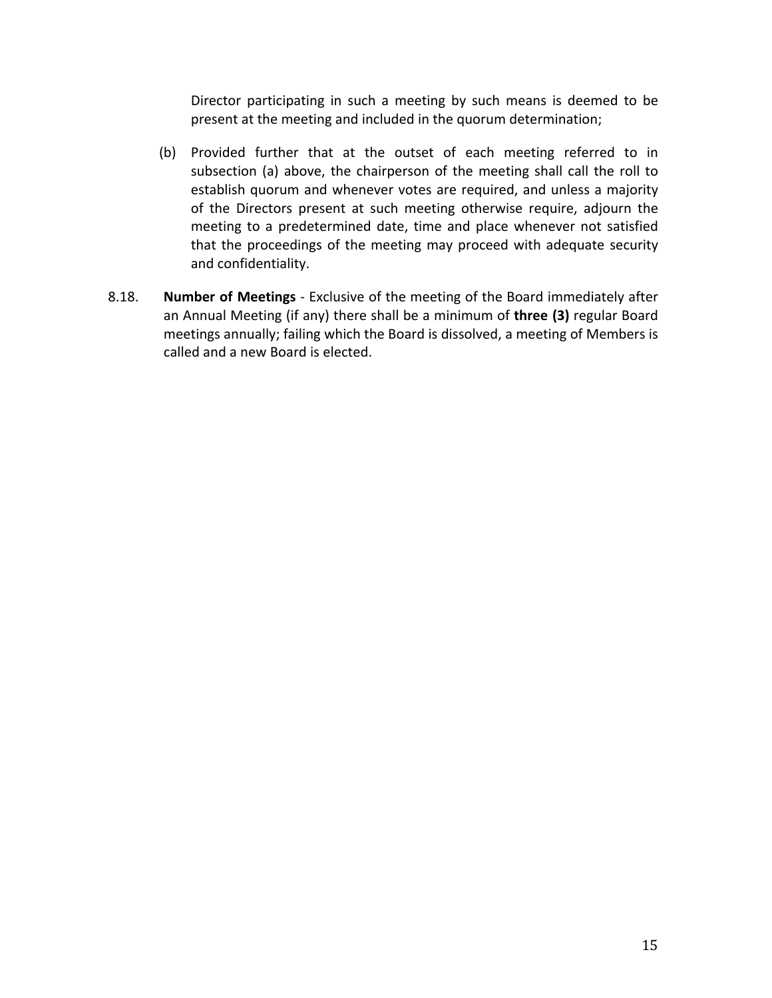Director participating in such a meeting by such means is deemed to be present at the meeting and included in the quorum determination;

- (b) Provided further that at the outset of each meeting referred to in subsection (a) above, the chairperson of the meeting shall call the roll to establish quorum and whenever votes are required, and unless a majority of the Directors present at such meeting otherwise require, adjourn the meeting to a predetermined date, time and place whenever not satisfied that the proceedings of the meeting may proceed with adequate security and confidentiality.
- 8.18. **Number of Meetings** Exclusive of the meeting of the Board immediately after an Annual Meeting (if any) there shall be a minimum of **three (3)** regular Board meetings annually; failing which the Board is dissolved, a meeting of Members is called and a new Board is elected.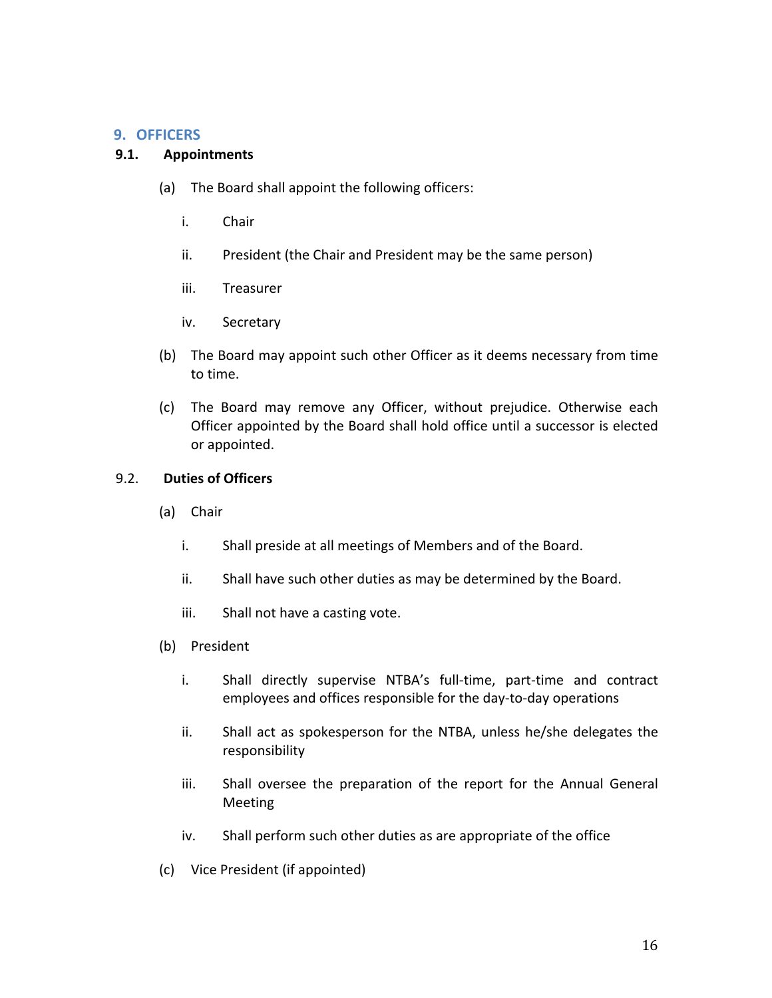## **9. OFFICERS**

### **9.1. Appointments**

- (a) The Board shall appoint the following officers:
	- i. Chair
	- ii. President (the Chair and President may be the same person)
	- iii. Treasurer
	- iv. Secretary
- (b) The Board may appoint such other Officer as it deems necessary from time to time.
- (c) The Board may remove any Officer, without prejudice. Otherwise each Officer appointed by the Board shall hold office until a successor is elected or appointed.

### 9.2. **Duties of Officers**

- (a) Chair
	- i. Shall preside at all meetings of Members and of the Board.
	- ii. Shall have such other duties as may be determined by the Board.
	- iii. Shall not have a casting vote.
- (b) President
	- i. Shall directly supervise NTBA's full-time, part-time and contract employees and offices responsible for the day-to-day operations
	- ii. Shall act as spokesperson for the NTBA, unless he/she delegates the responsibility
	- iii. Shall oversee the preparation of the report for the Annual General Meeting
	- iv. Shall perform such other duties as are appropriate of the office
- (c) Vice President (if appointed)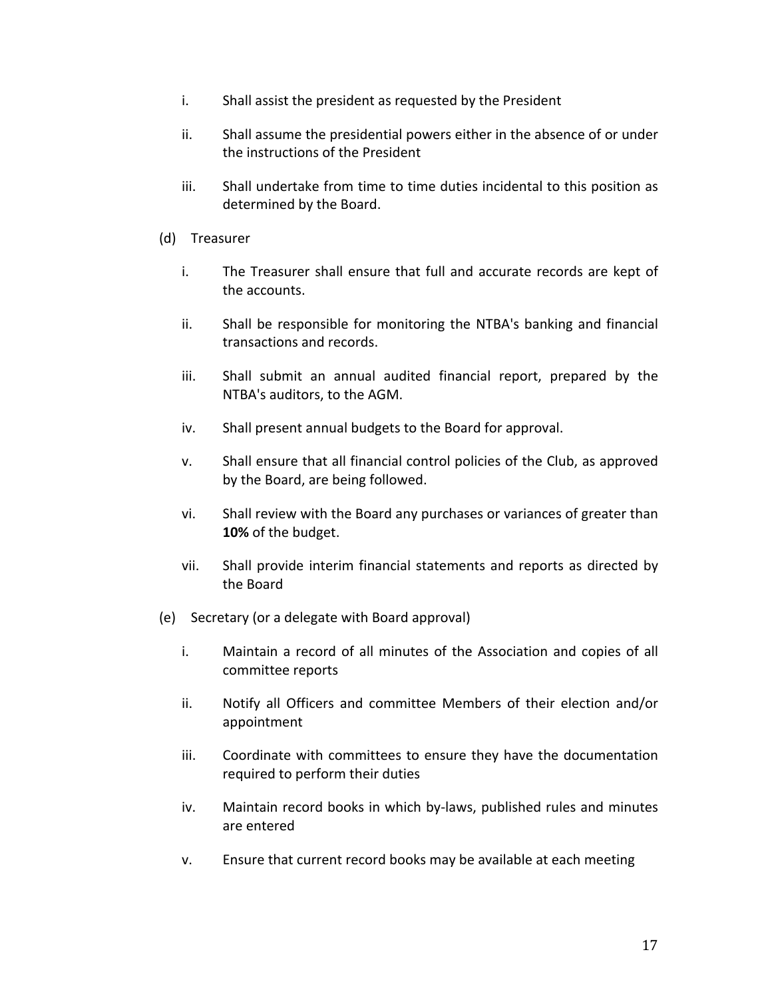- i. Shall assist the president as requested by the President
- ii. Shall assume the presidential powers either in the absence of or under the instructions of the President
- iii. Shall undertake from time to time duties incidental to this position as determined by the Board.
- (d) Treasurer
	- i. The Treasurer shall ensure that full and accurate records are kept of the accounts.
	- ii. Shall be responsible for monitoring the NTBA's banking and financial transactions and records.
	- iii. Shall submit an annual audited financial report, prepared by the NTBA's auditors, to the AGM.
	- iv. Shall present annual budgets to the Board for approval.
	- v. Shall ensure that all financial control policies of the Club, as approved by the Board, are being followed.
	- vi. Shall review with the Board any purchases or variances of greater than **10%** of the budget.
	- vii. Shall provide interim financial statements and reports as directed by the Board
- (e) Secretary (or a delegate with Board approval)
	- i. Maintain a record of all minutes of the Association and copies of all committee reports
	- ii. Notify all Officers and committee Members of their election and/or appointment
	- iii. Coordinate with committees to ensure they have the documentation required to perform their duties
	- iv. Maintain record books in which by-laws, published rules and minutes are entered
	- v. Ensure that current record books may be available at each meeting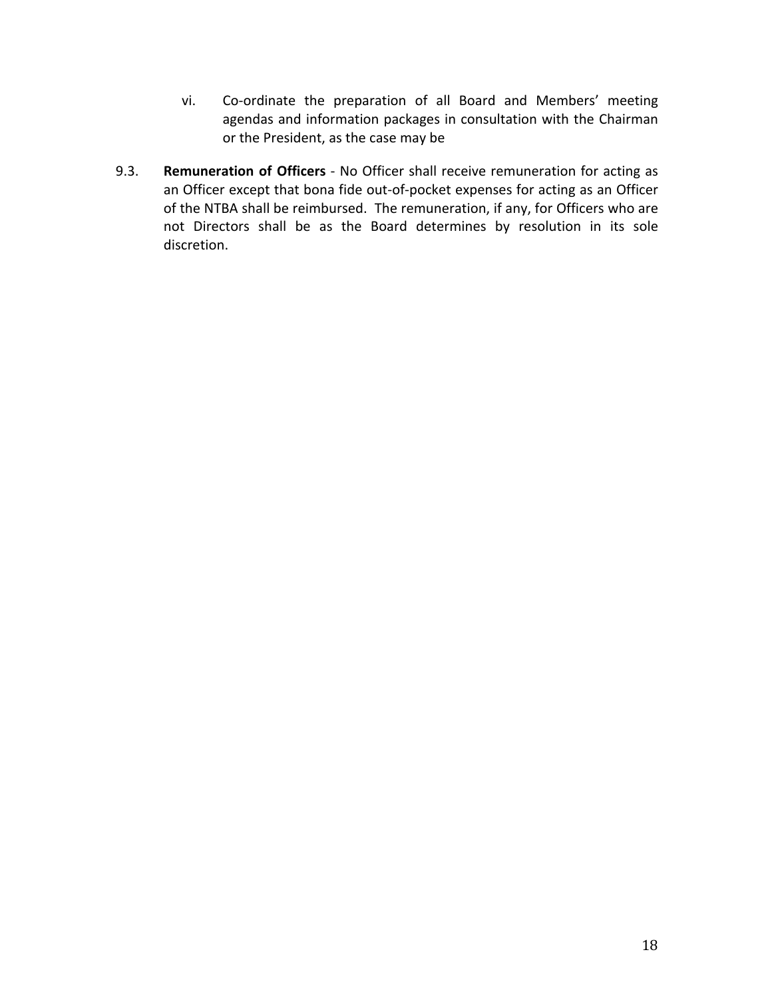- vi. Co-ordinate the preparation of all Board and Members' meeting agendas and information packages in consultation with the Chairman or the President, as the case may be
- 9.3. **Remuneration of Officers** No Officer shall receive remuneration for acting as an Officer except that bona fide out-of-pocket expenses for acting as an Officer of the NTBA shall be reimbursed. The remuneration, if any, for Officers who are not Directors shall be as the Board determines by resolution in its sole discretion.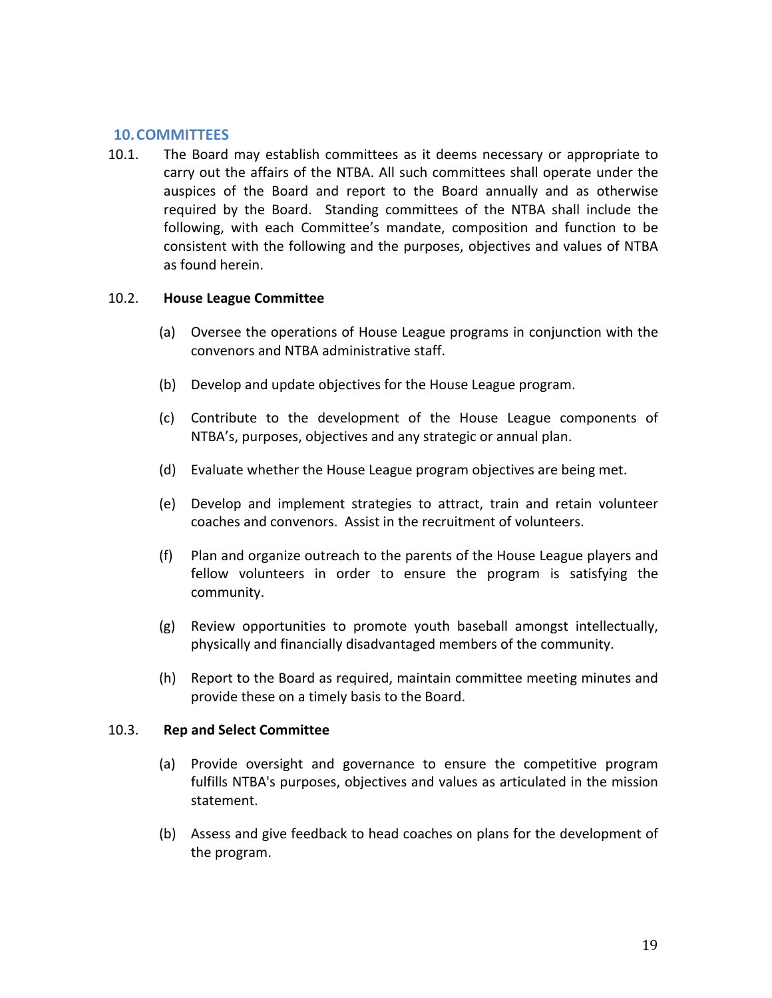### **10.COMMITTEES**

10.1. The Board may establish committees as it deems necessary or appropriate to carry out the affairs of the NTBA. All such committees shall operate under the auspices of the Board and report to the Board annually and as otherwise required by the Board. Standing committees of the NTBA shall include the following, with each Committee's mandate, composition and function to be consistent with the following and the purposes, objectives and values of NTBA as found herein.

#### 10.2. **House League Committee**

- (a) Oversee the operations of House League programs in conjunction with the convenors and NTBA administrative staff.
- (b) Develop and update objectives for the House League program.
- (c) Contribute to the development of the House League components of NTBA's, purposes, objectives and any strategic or annual plan.
- (d) Evaluate whether the House League program objectives are being met.
- (e) Develop and implement strategies to attract, train and retain volunteer coaches and convenors. Assist in the recruitment of volunteers.
- (f) Plan and organize outreach to the parents of the House League players and fellow volunteers in order to ensure the program is satisfying the community.
- (g) Review opportunities to promote youth baseball amongst intellectually, physically and financially disadvantaged members of the community.
- (h) Report to the Board as required, maintain committee meeting minutes and provide these on a timely basis to the Board.

#### 10.3. **Rep and Select Committee**

- (a) Provide oversight and governance to ensure the competitive program fulfills NTBA's purposes, objectives and values as articulated in the mission statement.
- (b) Assess and give feedback to head coaches on plans for the development of the program.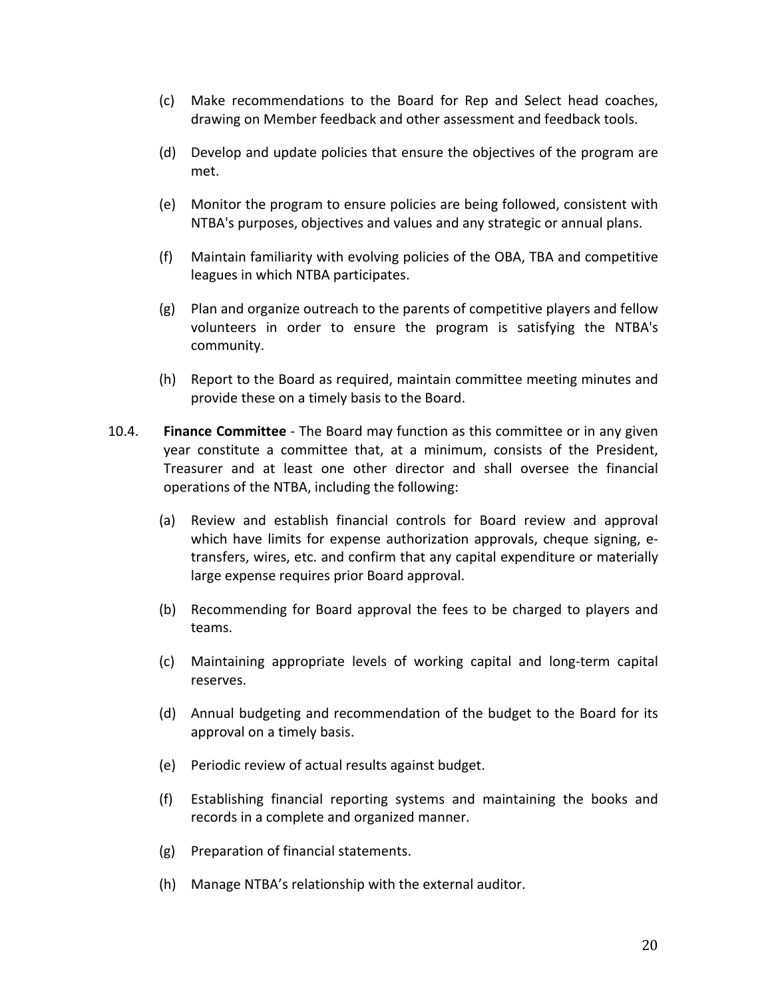- (c) Make recommendations to the Board for Rep and Select head coaches, drawing on Member feedback and other assessment and feedback tools.
- (d) Develop and update policies that ensure the objectives of the program are met.
- (e) Monitor the program to ensure policies are being followed, consistent with NTBA's purposes, objectives and values and any strategic or annual plans.
- (f) Maintain familiarity with evolving policies of the OBA, TBA and competitive leagues in which NTBA participates.
- (g) Plan and organize outreach to the parents of competitive players and fellow volunteers in order to ensure the program is satisfying the NTBA's community.
- (h) Report to the Board as required, maintain committee meeting minutes and provide these on a timely basis to the Board.
- 10.4. **Finance Committee** The Board may function as this committee or in any given year constitute a committee that, at a minimum, consists of the President, Treasurer and at least one other director and shall oversee the financial operations of the NTBA, including the following:
	- (a) Review and establish financial controls for Board review and approval which have limits for expense authorization approvals, cheque signing, etransfers, wires, etc. and confirm that any capital expenditure or materially large expense requires prior Board approval.
	- (b) Recommending for Board approval the fees to be charged to players and teams.
	- (c) Maintaining appropriate levels of working capital and long-term capital reserves.
	- (d) Annual budgeting and recommendation of the budget to the Board for its approval on a timely basis.
	- (e) Periodic review of actual results against budget.
	- (f) Establishing financial reporting systems and maintaining the books and records in a complete and organized manner.
	- (g) Preparation of financial statements.
	- (h) Manage NTBA's relationship with the external auditor.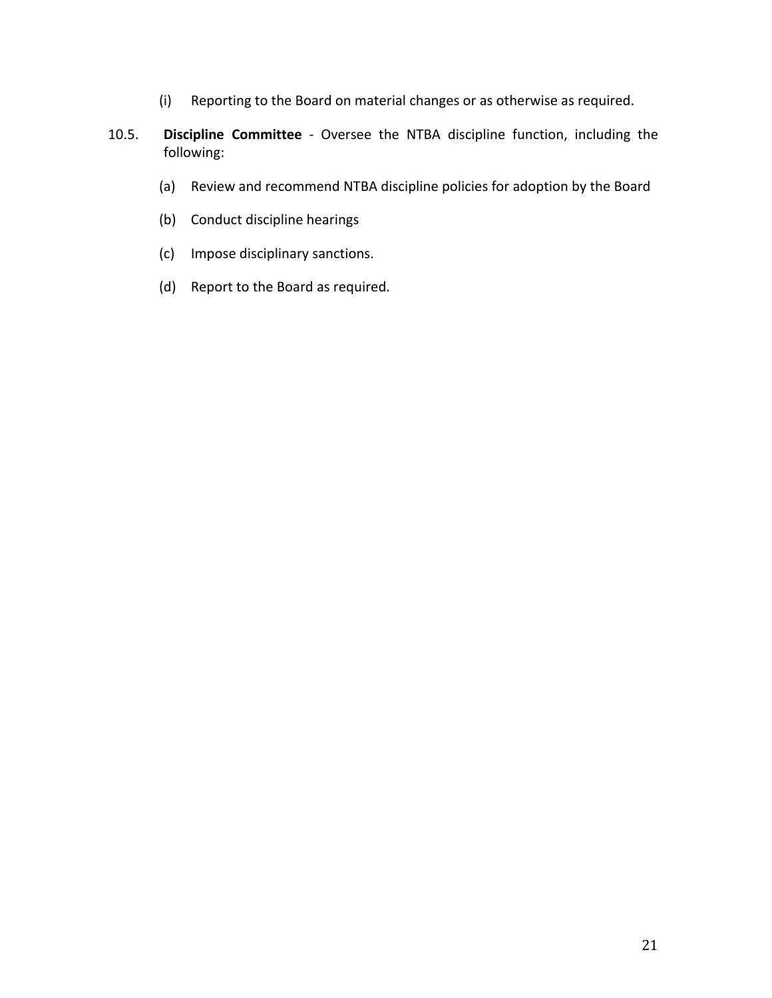- (i) Reporting to the Board on material changes or as otherwise as required.
- 10.5. **Discipline Committee** Oversee the NTBA discipline function, including the following:
	- (a) Review and recommend NTBA discipline policies for adoption by the Board
	- (b) Conduct discipline hearings
	- (c) Impose disciplinary sanctions.
	- (d) Report to the Board as required.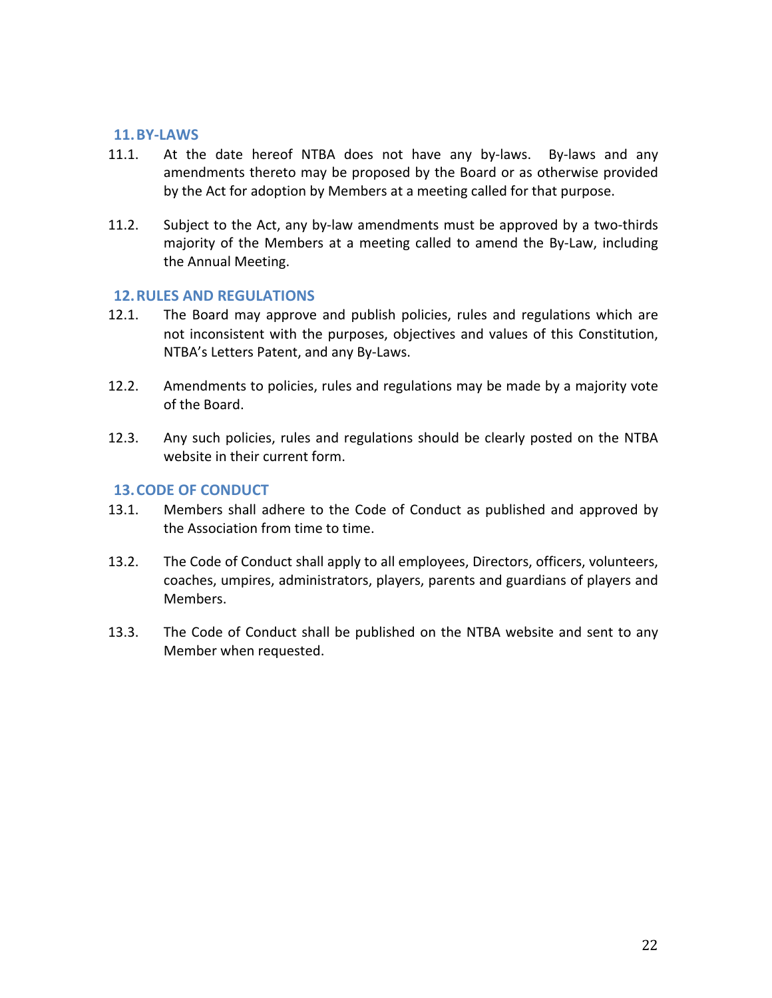#### **11.BY-LAWS**

- 11.1. At the date hereof NTBA does not have any by-laws. By-laws and any amendments thereto may be proposed by the Board or as otherwise provided by the Act for adoption by Members at a meeting called for that purpose.
- 11.2. Subject to the Act, any by-law amendments must be approved by a two-thirds majority of the Members at a meeting called to amend the By-Law, including the Annual Meeting.

#### **12. RULES AND REGULATIONS**

- 12.1. The Board may approve and publish policies, rules and regulations which are not inconsistent with the purposes, objectives and values of this Constitution, NTBA's Letters Patent, and any By-Laws.
- 12.2. Amendments to policies, rules and regulations may be made by a majority vote of the Board.
- 12.3. Any such policies, rules and regulations should be clearly posted on the NTBA website in their current form.

### **13. CODE OF CONDUCT**

- 13.1. Members shall adhere to the Code of Conduct as published and approved by the Association from time to time.
- 13.2. The Code of Conduct shall apply to all employees, Directors, officers, volunteers, coaches, umpires, administrators, players, parents and guardians of players and Members.
- 13.3. The Code of Conduct shall be published on the NTBA website and sent to any Member when requested.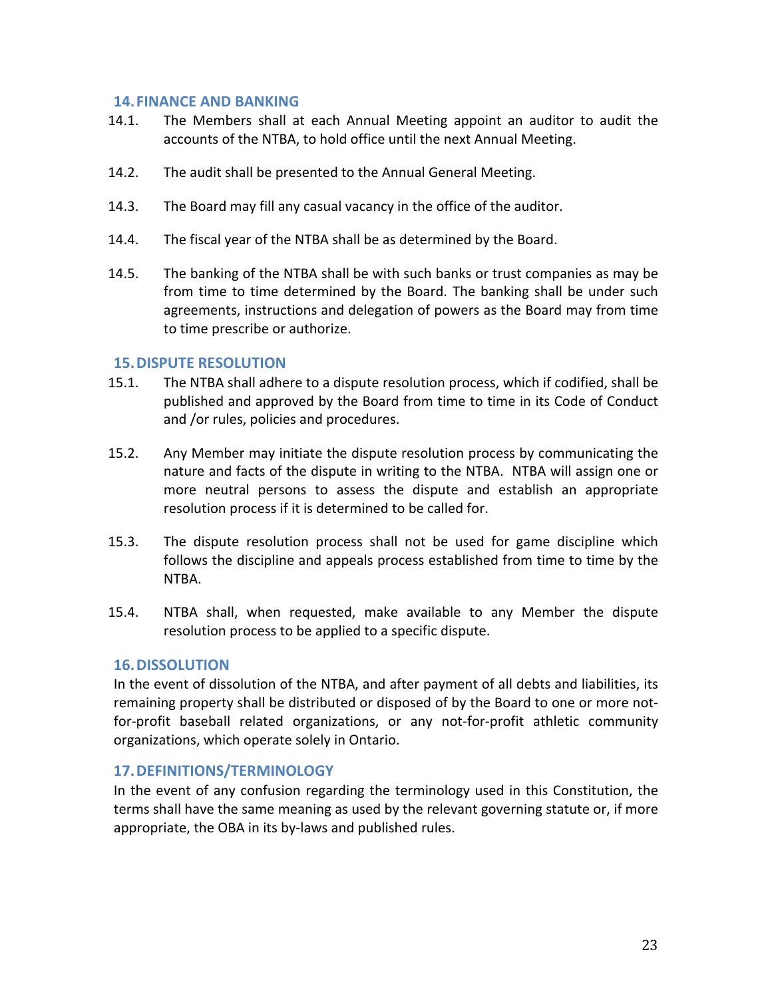### **14. FINANCE AND BANKING**

- 14.1. The Members shall at each Annual Meeting appoint an auditor to audit the accounts of the NTBA, to hold office until the next Annual Meeting.
- 14.2. The audit shall be presented to the Annual General Meeting.
- 14.3. The Board may fill any casual vacancy in the office of the auditor.
- 14.4. The fiscal year of the NTBA shall be as determined by the Board.
- 14.5. The banking of the NTBA shall be with such banks or trust companies as may be from time to time determined by the Board. The banking shall be under such agreements, instructions and delegation of powers as the Board may from time to time prescribe or authorize.

#### **15. DISPUTE RESOLUTION**

- 15.1. The NTBA shall adhere to a dispute resolution process, which if codified, shall be published and approved by the Board from time to time in its Code of Conduct and /or rules, policies and procedures.
- 15.2. Any Member may initiate the dispute resolution process by communicating the nature and facts of the dispute in writing to the NTBA. NTBA will assign one or more neutral persons to assess the dispute and establish an appropriate resolution process if it is determined to be called for.
- 15.3. The dispute resolution process shall not be used for game discipline which follows the discipline and appeals process established from time to time by the NTBA.
- 15.4. NTBA shall, when requested, make available to any Member the dispute resolution process to be applied to a specific dispute.

### **16.DISSOLUTION**

In the event of dissolution of the NTBA, and after payment of all debts and liabilities, its remaining property shall be distributed or disposed of by the Board to one or more notfor-profit baseball related organizations, or any not-for-profit athletic community organizations, which operate solely in Ontario.

### **17.DEFINITIONS/TERMINOLOGY**

In the event of any confusion regarding the terminology used in this Constitution, the terms shall have the same meaning as used by the relevant governing statute or, if more appropriate, the OBA in its by-laws and published rules.